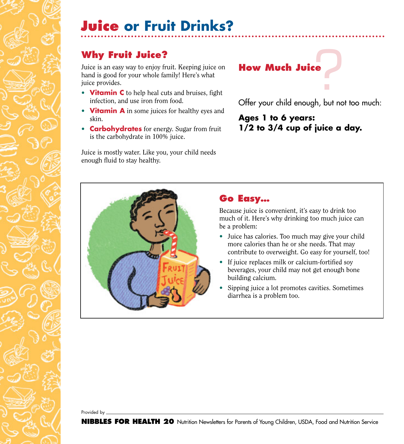# **Juice or Fruit Drinks?**

# **Why Fruit Juice?**

Juice is an easy way to enjoy fruit. Keeping juice on hand is good for your whole family! Here's what juice provides.

- **Vitamin C** to help heal cuts and bruises, fight infection, and use iron from food.
- **Vitamin A** in some juices for healthy eyes and skin.
- **Carbohydrates** for energy. Sugar from fruit is the carbohydrate in 100% juice.

Juice is mostly water. Like you, your child needs enough fluid to stay healthy.

# **P How Much Juice**

Offer your child enough, but not too much:

### **Ages 1 to 6 years: 1/2 to 3/4 cup of juice a day.**

#### **Go Easy…**

Because juice is convenient, it's easy to drink too much of it. Here's why drinking too much juice can be a problem:

- Juice has calories. Too much may give your child more calories than he or she needs. That may contribute to overweight. Go easy for yourself, too!
- If juice replaces milk or calcium-fortified soy beverages, your child may not get enough bone building calcium.
- Sipping juice a lot promotes cavities. Sometimes diarrhea is a problem too.